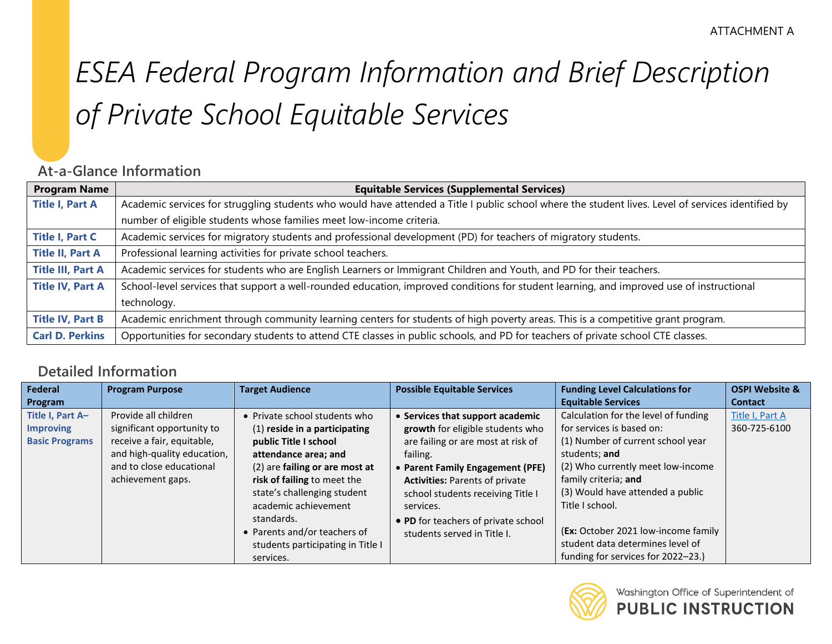# *ESEA Federal Program Information and Brief Description of Private School Equitable Services*

## **At-a-Glance Information**

| <b>Program Name</b>      | <b>Equitable Services (Supplemental Services)</b>                                                                                                  |
|--------------------------|----------------------------------------------------------------------------------------------------------------------------------------------------|
| <b>Title I, Part A</b>   | Academic services for struggling students who would have attended a Title I public school where the student lives. Level of services identified by |
|                          | number of eligible students whose families meet low-income criteria.                                                                               |
| <b>Title I, Part C</b>   | Academic services for migratory students and professional development (PD) for teachers of migratory students.                                     |
| <b>Title II, Part A</b>  | Professional learning activities for private school teachers.                                                                                      |
| <b>Title III, Part A</b> | Academic services for students who are English Learners or Immigrant Children and Youth, and PD for their teachers.                                |
| <b>Title IV, Part A</b>  | School-level services that support a well-rounded education, improved conditions for student learning, and improved use of instructional           |
|                          | technology.                                                                                                                                        |
| <b>Title IV, Part B</b>  | Academic enrichment through community learning centers for students of high poverty areas. This is a competitive grant program.                    |
| <b>Carl D. Perkins</b>   | Opportunities for secondary students to attend CTE classes in public schools, and PD for teachers of private school CTE classes.                   |

### **Detailed Information**

| Federal                                                       | <b>Program Purpose</b>                                                                                                                                           | <b>Target Audience</b>                                                                                                                                                                                                                                                                                                                  | <b>Possible Equitable Services</b>                                                                                                                                                                                                                                                                                          | <b>Funding Level Calculations for</b>                                                                                                                                                                                                                                                                                                                        | <b>OSPI Website &amp;</b>       |
|---------------------------------------------------------------|------------------------------------------------------------------------------------------------------------------------------------------------------------------|-----------------------------------------------------------------------------------------------------------------------------------------------------------------------------------------------------------------------------------------------------------------------------------------------------------------------------------------|-----------------------------------------------------------------------------------------------------------------------------------------------------------------------------------------------------------------------------------------------------------------------------------------------------------------------------|--------------------------------------------------------------------------------------------------------------------------------------------------------------------------------------------------------------------------------------------------------------------------------------------------------------------------------------------------------------|---------------------------------|
| Program                                                       |                                                                                                                                                                  |                                                                                                                                                                                                                                                                                                                                         |                                                                                                                                                                                                                                                                                                                             | <b>Equitable Services</b>                                                                                                                                                                                                                                                                                                                                    | <b>Contact</b>                  |
| Title I, Part A-<br><b>Improving</b><br><b>Basic Programs</b> | Provide all children<br>significant opportunity to<br>receive a fair, equitable,<br>and high-quality education,<br>and to close educational<br>achievement gaps. | • Private school students who<br>(1) reside in a participating<br>public Title I school<br>attendance area; and<br>(2) are failing or are most at<br>risk of failing to meet the<br>state's challenging student<br>academic achievement<br>standards.<br>• Parents and/or teachers of<br>students participating in Title I<br>services. | • Services that support academic<br>growth for eligible students who<br>are failing or are most at risk of<br>failing.<br>• Parent Family Engagement (PFE)<br><b>Activities: Parents of private</b><br>school students receiving Title I<br>services.<br>• PD for teachers of private school<br>students served in Title I. | Calculation for the level of funding<br>for services is based on:<br>(1) Number of current school year<br>students; and<br>(2) Who currently meet low-income<br>family criteria; and<br>(3) Would have attended a public<br>Title I school.<br>(Ex: October 2021 low-income family<br>student data determines level of<br>funding for services for 2022-23.) | Title I, Part A<br>360-725-6100 |

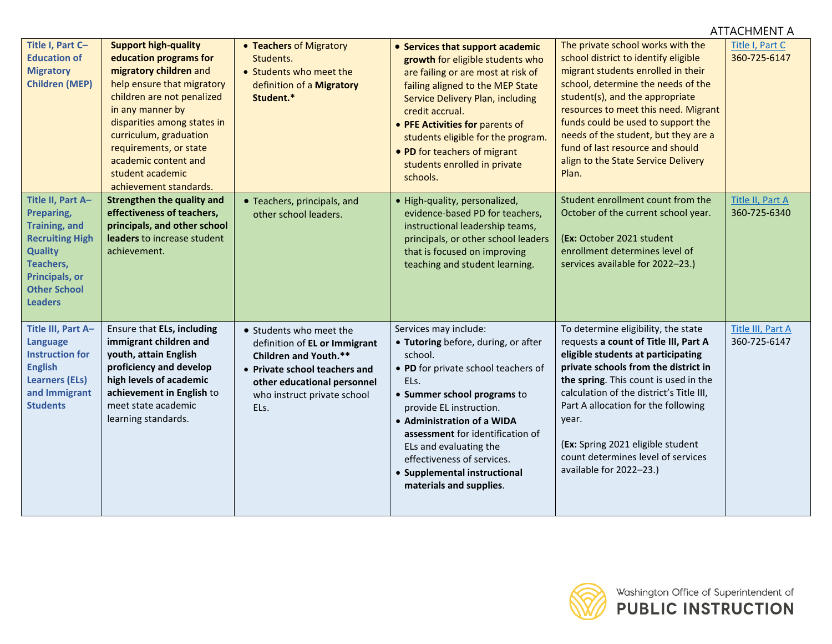|                                                                                                                                                                             | <b>ATTACHMENT A</b>                                                                                                                                                                                                                                                                                                      |                                                                                                                                                                                          |                                                                                                                                                                                                                                                                                                                                                                       |                                                                                                                                                                                                                                                                                                                                                                                                       |                                   |  |
|-----------------------------------------------------------------------------------------------------------------------------------------------------------------------------|--------------------------------------------------------------------------------------------------------------------------------------------------------------------------------------------------------------------------------------------------------------------------------------------------------------------------|------------------------------------------------------------------------------------------------------------------------------------------------------------------------------------------|-----------------------------------------------------------------------------------------------------------------------------------------------------------------------------------------------------------------------------------------------------------------------------------------------------------------------------------------------------------------------|-------------------------------------------------------------------------------------------------------------------------------------------------------------------------------------------------------------------------------------------------------------------------------------------------------------------------------------------------------------------------------------------------------|-----------------------------------|--|
| Title I, Part C-<br><b>Education of</b><br><b>Migratory</b><br><b>Children (MEP)</b>                                                                                        | <b>Support high-quality</b><br>education programs for<br>migratory children and<br>help ensure that migratory<br>children are not penalized<br>in any manner by<br>disparities among states in<br>curriculum, graduation<br>requirements, or state<br>academic content and<br>student academic<br>achievement standards. | • Teachers of Migratory<br>Students.<br>• Students who meet the<br>definition of a Migratory<br>Student.*                                                                                | • Services that support academic<br>growth for eligible students who<br>are failing or are most at risk of<br>failing aligned to the MEP State<br>Service Delivery Plan, including<br>credit accrual.<br>• PFE Activities for parents of<br>students eligible for the program.<br>• PD for teachers of migrant<br>students enrolled in private<br>schools.            | The private school works with the<br>school district to identify eligible<br>migrant students enrolled in their<br>school, determine the needs of the<br>student(s), and the appropriate<br>resources to meet this need. Migrant<br>funds could be used to support the<br>needs of the student, but they are a<br>fund of last resource and should<br>align to the State Service Delivery<br>Plan.    | Title I, Part C<br>360-725-6147   |  |
| Title II, Part A-<br>Preparing,<br><b>Training, and</b><br><b>Recruiting High</b><br><b>Quality</b><br>Teachers,<br>Principals, or<br><b>Other School</b><br><b>Leaders</b> | <b>Strengthen the quality and</b><br>effectiveness of teachers,<br>principals, and other school<br>leaders to increase student<br>achievement.                                                                                                                                                                           | • Teachers, principals, and<br>other school leaders.                                                                                                                                     | · High-quality, personalized,<br>evidence-based PD for teachers,<br>instructional leadership teams,<br>principals, or other school leaders<br>that is focused on improving<br>teaching and student learning.                                                                                                                                                          | Student enrollment count from the<br>October of the current school year.<br>(Ex: October 2021 student<br>enrollment determines level of<br>services available for 2022-23.)                                                                                                                                                                                                                           | Title II, Part A<br>360-725-6340  |  |
| Title III, Part A-<br><b>Language</b><br><b>Instruction for</b><br><b>English</b><br><b>Learners (ELs)</b><br>and Immigrant<br><b>Students</b>                              | Ensure that ELs, including<br>immigrant children and<br>youth, attain English<br>proficiency and develop<br>high levels of academic<br>achievement in English to<br>meet state academic<br>learning standards.                                                                                                           | • Students who meet the<br>definition of EL or Immigrant<br>Children and Youth.**<br>• Private school teachers and<br>other educational personnel<br>who instruct private school<br>ELs. | Services may include:<br>• Tutoring before, during, or after<br>school.<br>• PD for private school teachers of<br>ELs.<br>• Summer school programs to<br>provide EL instruction.<br>• Administration of a WIDA<br>assessment for identification of<br>ELs and evaluating the<br>effectiveness of services.<br>• Supplemental instructional<br>materials and supplies. | To determine eligibility, the state<br>requests a count of Title III, Part A<br>eligible students at participating<br>private schools from the district in<br>the spring. This count is used in the<br>calculation of the district's Title III,<br>Part A allocation for the following<br>year.<br>(Ex: Spring 2021 eligible student<br>count determines level of services<br>available for 2022-23.) | Title III, Part A<br>360-725-6147 |  |

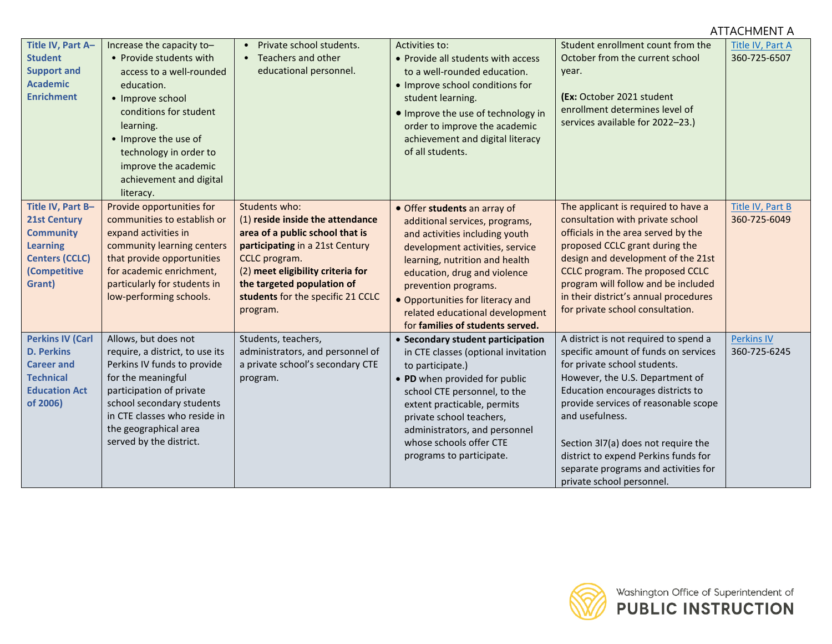#### **Title IV, Part A– Student Support and Academic Enrichment**  Increase the capacity to– • Provide students with access to a well-rounded education. • Improve school conditions for student learning. • Improve the use of technology in order to improve the academic achievement and digital literacy. • Private school students. • Teachers and other educational personnel. Activities to: • Provide all students with access to a well-rounded education. • Improve school conditions for student learning. • Improve the use of technology in order to improve the academic achievement and digital literacy of all students. Student enrollment count from the October from the current school year. **(Ex:** October 2021 student enrollment determines level of services available for 2022–23.) [Title IV, Part A](http://www.k12.wa.us/TitleIV-A/default.aspx) 360-725-6507 **Title IV, Part B– 21st Century Community Learning Centers (CCLC) (Competitive Grant)** Provide opportunities for communities to establish or expand activities in community learning centers that provide opportunities for academic enrichment, particularly for students in low-performing schools. Students who: (1) **reside inside the attendance area of a public school that is participating** in a 21st Century CCLC program. (2) **meet eligibility criteria for the targeted population of students** for the specific 21 CCLC program. • Offer **students** an array of additional services, programs, and activities including youth development activities, service learning, nutrition and health education, drug and violence prevention programs. • Opportunities for literacy and related educational development for **families of students served.** The applicant is required to have a consultation with private school officials in the area served by the proposed CCLC grant during the design and development of the 21st CCLC program. The proposed CCLC program will follow and be included in their district's annual procedures for private school consultation. [Title IV, Part B](https://www.k12.wa.us/policy-funding/grants-grant-management/nita-m-lowey-21st-century-community-learning-centers-program) 360-725-6049 **Perkins IV (Carl D. Perkins Career and Technical Education Act of 2006)** Allows, but does not require, a district, to use its Perkins IV funds to provide for the meaningful participation of private school secondary students in CTE classes who reside in the geographical area served by the district. Students, teachers, administrators, and personnel of a private school's secondary CTE program. • **Secondary student participation** in CTE classes (optional invitation to participate.) • **PD** when provided for public school CTE personnel, to the extent practicable, permits private school teachers, administrators, and personnel whose schools offer CTE programs to participate. A district is not required to spend a specific amount of funds on services for private school students. However, the U.S. Department of Education encourages districts to provide services of reasonable scope and usefulness. Section 3l7(a) does not require the district to expend Perkins funds for separate programs and activities for [Perkins IV](http://www.k12.wa.us/careerteched/PerkinsGrant.aspx) 360-725-6245



private school personnel.

ATTACHMENT A